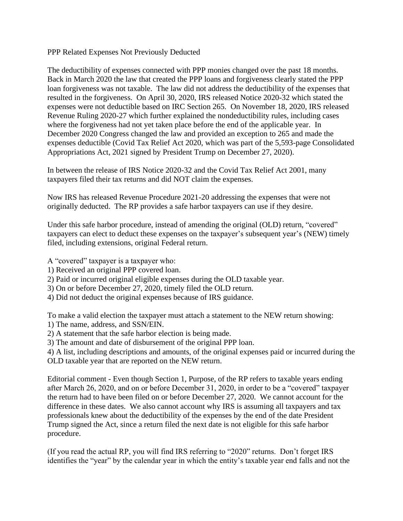PPP Related Expenses Not Previously Deducted

The deductibility of expenses connected with PPP monies changed over the past 18 months. Back in March 2020 the law that created the PPP loans and forgiveness clearly stated the PPP loan forgiveness was not taxable. The law did not address the deductibility of the expenses that resulted in the forgiveness. On April 30, 2020, IRS released Notice 2020-32 which stated the expenses were not deductible based on IRC Section 265. On November 18, 2020, IRS released Revenue Ruling 2020-27 which further explained the nondeductibility rules, including cases where the forgiveness had not yet taken place before the end of the applicable year. In December 2020 Congress changed the law and provided an exception to 265 and made the expenses deductible (Covid Tax Relief Act 2020, which was part of the 5,593-page Consolidated Appropriations Act, 2021 signed by President Trump on December 27, 2020).

In between the release of IRS Notice 2020-32 and the Covid Tax Relief Act 2001, many taxpayers filed their tax returns and did NOT claim the expenses.

Now IRS has released Revenue Procedure 2021-20 addressing the expenses that were not originally deducted. The RP provides a safe harbor taxpayers can use if they desire.

Under this safe harbor procedure, instead of amending the original (OLD) return, "covered" taxpayers can elect to deduct these expenses on the taxpayer's subsequent year's (NEW) timely filed, including extensions, original Federal return.

- A "covered" taxpayer is a taxpayer who:
- 1) Received an original PPP covered loan.
- 2) Paid or incurred original eligible expenses during the OLD taxable year.
- 3) On or before December 27, 2020, timely filed the OLD return.
- 4) Did not deduct the original expenses because of IRS guidance.

To make a valid election the taxpayer must attach a statement to the NEW return showing: 1) The name, address, and SSN/EIN.

- 2) A statement that the safe harbor election is being made.
- 3) The amount and date of disbursement of the original PPP loan.
- 4) A list, including descriptions and amounts, of the original expenses paid or incurred during the OLD taxable year that are reported on the NEW return.

Editorial comment - Even though Section 1, Purpose, of the RP refers to taxable years ending after March 26, 2020, and on or before December 31, 2020, in order to be a "covered" taxpayer the return had to have been filed on or before December 27, 2020. We cannot account for the difference in these dates. We also cannot account why IRS is assuming all taxpayers and tax professionals knew about the deductibility of the expenses by the end of the date President Trump signed the Act, since a return filed the next date is not eligible for this safe harbor procedure.

(If you read the actual RP, you will find IRS referring to "2020" returns. Don't forget IRS identifies the "year" by the calendar year in which the entity's taxable year end falls and not the